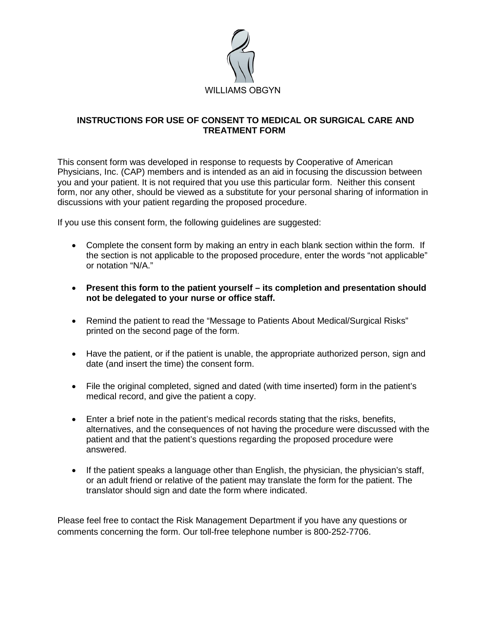

### **INSTRUCTIONS FOR USE OF CONSENT TO MEDICAL OR SURGICAL CARE AND TREATMENT FORM**

This consent form was developed in response to requests by Cooperative of American Physicians, Inc. (CAP) members and is intended as an aid in focusing the discussion between you and your patient. It is not required that you use this particular form. Neither this consent form, nor any other, should be viewed as a substitute for your personal sharing of information in discussions with your patient regarding the proposed procedure.

If you use this consent form, the following guidelines are suggested:

- Complete the consent form by making an entry in each blank section within the form. If the section is not applicable to the proposed procedure, enter the words "not applicable" or notation "N/A."
- **Present this form to the patient yourself its completion and presentation should not be delegated to your nurse or office staff.**
- Remind the patient to read the "Message to Patients About Medical/Surgical Risks" printed on the second page of the form.
- Have the patient, or if the patient is unable, the appropriate authorized person, sign and date (and insert the time) the consent form.
- File the original completed, signed and dated (with time inserted) form in the patient's medical record, and give the patient a copy.
- Enter a brief note in the patient's medical records stating that the risks, benefits, alternatives, and the consequences of not having the procedure were discussed with the patient and that the patient's questions regarding the proposed procedure were answered.
- If the patient speaks a language other than English, the physician, the physician's staff, or an adult friend or relative of the patient may translate the form for the patient. The translator should sign and date the form where indicated.

Please feel free to contact the Risk Management Department if you have any questions or comments concerning the form. Our toll-free telephone number is 800-252-7706.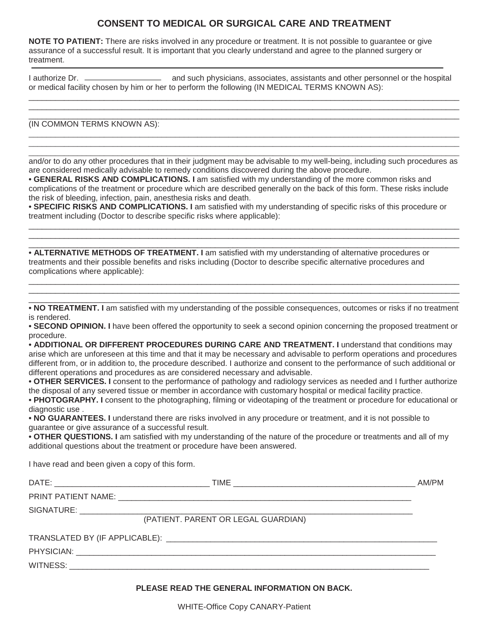# **CONSENT TO MEDICAL OR SURGICAL CARE AND TREATMENT**

**NOTE TO PATIENT:** There are risks involved in any procedure or treatment. It is not possible to guarantee or give assurance of a successful result. It is important that you clearly understand and agree to the planned surgery or treatment.

I authorize Dr. \_\_\_\_\_\_\_\_\_\_\_\_\_\_\_\_\_\_\_\_ and such physicians, associates, assistants and other personnel or the hospital or medical facility chosen by him or her to perform the following (IN MEDICAL TERMS KNOWN AS):

 $\_$  ,  $\_$  ,  $\_$  ,  $\_$  ,  $\_$  ,  $\_$  ,  $\_$  ,  $\_$  ,  $\_$  ,  $\_$  ,  $\_$  ,  $\_$  ,  $\_$  ,  $\_$  ,  $\_$  ,  $\_$  ,  $\_$  ,  $\_$  ,  $\_$  ,  $\_$  ,  $\_$  ,  $\_$  ,  $\_$  ,  $\_$  ,  $\_$  ,  $\_$  ,  $\_$  ,  $\_$  ,  $\_$  ,  $\_$  ,  $\_$  ,  $\_$  ,  $\_$  ,  $\_$  ,  $\_$  ,  $\_$  ,  $\_$  ,  $\_$  ,  $\_$  ,  $\_$  ,  $\_$  ,  $\_$  ,  $\_$  ,  $\_$  ,  $\_$  ,  $\_$  ,  $\_$  ,  $\_$  ,  $\_$  ,  $\_$  ,  $\_$  ,  $\_$  ,  $\_$  ,  $\_$  ,  $\_$  ,  $\_$  ,  $\_$  ,  $\_$  ,  $\_$  ,  $\_$  ,  $\_$  ,  $\_$  ,  $\_$  ,  $\_$  ,  $\_$  ,  $\_$  ,  $\_$  ,  $\_$  ,  $\_$  ,  $\_$  ,  $\_$  ,  $\_$  ,  $\_$  ,  $\_$  ,  $\_$  ,  $\_$  ,  $\_$  ,  $\_$  ,  $\_$  ,  $\_$  ,  $\_$  ,  $\_$  ,  $\_$  ,  $\_$  ,  $\_$  ,  $\_$  ,  $\_$  ,  $\_$  ,  $\_$  ,  $\_$  ,  $\_$  ,  $\_$  ,  $\_$  ,  $\_$  ,  $\_$  ,  $\_$  ,  $\_$  ,  $\_$  ,  $\_$  ,  $\_$  ,  $\_$  ,  $\_$  ,  $\_$  ,  $\_$  ,  $\_$  ,  $\_$  ,  $\_$  ,  $\_$  ,  $\_$  ,  $\_$  ,  $\_$  ,

(IN COMMON TERMS KNOWN AS):

 $\_$  ,  $\_$  ,  $\_$  ,  $\_$  ,  $\_$  ,  $\_$  ,  $\_$  ,  $\_$  ,  $\_$  ,  $\_$  ,  $\_$  ,  $\_$  ,  $\_$  ,  $\_$  ,  $\_$  ,  $\_$  ,  $\_$  ,  $\_$  ,  $\_$  ,  $\_$  ,  $\_$  ,  $\_$  ,  $\_$  ,  $\_$  ,  $\_$  ,  $\_$  ,  $\_$  ,  $\_$  ,  $\_$  ,  $\_$  ,  $\_$  ,  $\_$  ,  $\_$  ,  $\_$  ,  $\_$  ,  $\_$  ,  $\_$  , and/or to do any other procedures that in their judgment may be advisable to my well-being, including such procedures as are considered medically advisable to remedy conditions discovered during the above procedure.

 $\_$  ,  $\_$  ,  $\_$  ,  $\_$  ,  $\_$  ,  $\_$  ,  $\_$  ,  $\_$  ,  $\_$  ,  $\_$  ,  $\_$  ,  $\_$  ,  $\_$  ,  $\_$  ,  $\_$  ,  $\_$  ,  $\_$  ,  $\_$  ,  $\_$  ,  $\_$  ,  $\_$  ,  $\_$  ,  $\_$  ,  $\_$  ,  $\_$  ,  $\_$  ,  $\_$  ,  $\_$  ,  $\_$  ,  $\_$  ,  $\_$  ,  $\_$  ,  $\_$  ,  $\_$  ,  $\_$  ,  $\_$  ,  $\_$  ,  $\_$  ,  $\_$  ,  $\_$  ,  $\_$  ,  $\_$  ,  $\_$  ,  $\_$  ,  $\_$  ,  $\_$  ,  $\_$  ,  $\_$  ,  $\_$  ,  $\_$  ,  $\_$  ,  $\_$  ,  $\_$  ,  $\_$  ,  $\_$  ,  $\_$  ,  $\_$  ,  $\_$  ,  $\_$  ,  $\_$  ,  $\_$  ,  $\_$  ,  $\_$  ,  $\_$  ,  $\_$  ,  $\_$  ,  $\_$  ,  $\_$  ,  $\_$  ,  $\_$  ,  $\_$  ,  $\_$  ,  $\_$  ,  $\_$  ,

**• GENERAL RISKS AND COMPLICATIONS. I** am satisfied with my understanding of the more common risks and complications of the treatment or procedure which are described generally on the back of this form. These risks include the risk of bleeding, infection, pain, anesthesia risks and death.

**• SPECIFIC RISKS AND COMPLICATIONS. I** am satisfied with my understanding of specific risks of this procedure or treatment including (Doctor to describe specific risks where applicable):

 $\_$  ,  $\_$  ,  $\_$  ,  $\_$  ,  $\_$  ,  $\_$  ,  $\_$  ,  $\_$  ,  $\_$  ,  $\_$  ,  $\_$  ,  $\_$  ,  $\_$  ,  $\_$  ,  $\_$  ,  $\_$  ,  $\_$  ,  $\_$  ,  $\_$  ,  $\_$  ,  $\_$  ,  $\_$  ,  $\_$  ,  $\_$  ,  $\_$  ,  $\_$  ,  $\_$  ,  $\_$  ,  $\_$  ,  $\_$  ,  $\_$  ,  $\_$  ,  $\_$  ,  $\_$  ,  $\_$  ,  $\_$  ,  $\_$  ,  $\_$  ,  $\_$  ,  $\_$  ,  $\_$  ,  $\_$  ,  $\_$  ,  $\_$  ,  $\_$  ,  $\_$  ,  $\_$  ,  $\_$  ,  $\_$  ,  $\_$  ,  $\_$  ,  $\_$  ,  $\_$  ,  $\_$  ,  $\_$  ,  $\_$  ,  $\_$  ,  $\_$  ,  $\_$  ,  $\_$  ,  $\_$  ,  $\_$  ,  $\_$  ,  $\_$  ,  $\_$  ,  $\_$  ,  $\_$  ,  $\_$  ,  $\_$  ,  $\_$  ,  $\_$  ,  $\_$  ,  $\_$  ,  $\_$  ,

 $\_$  ,  $\_$  ,  $\_$  ,  $\_$  ,  $\_$  ,  $\_$  ,  $\_$  ,  $\_$  ,  $\_$  ,  $\_$  ,  $\_$  ,  $\_$  ,  $\_$  ,  $\_$  ,  $\_$  ,  $\_$  ,  $\_$  ,  $\_$  ,  $\_$  ,  $\_$  ,  $\_$  ,  $\_$  ,  $\_$  ,  $\_$  ,  $\_$  ,  $\_$  ,  $\_$  ,  $\_$  ,  $\_$  ,  $\_$  ,  $\_$  ,  $\_$  ,  $\_$  ,  $\_$  ,  $\_$  ,  $\_$  ,  $\_$  , **• ALTERNATIVE METHODS OF TREATMENT. I** am satisfied with my understanding of alternative procedures or treatments and their possible benefits and risks including (Doctor to describe specific alternative procedures and complications where applicable):

 $\_$  ,  $\_$  ,  $\_$  ,  $\_$  ,  $\_$  ,  $\_$  ,  $\_$  ,  $\_$  ,  $\_$  ,  $\_$  ,  $\_$  ,  $\_$  ,  $\_$  ,  $\_$  ,  $\_$  ,  $\_$  ,  $\_$  ,  $\_$  ,  $\_$  ,  $\_$  ,  $\_$  ,  $\_$  ,  $\_$  ,  $\_$  ,  $\_$  ,  $\_$  ,  $\_$  ,  $\_$  ,  $\_$  ,  $\_$  ,  $\_$  ,  $\_$  ,  $\_$  ,  $\_$  ,  $\_$  ,  $\_$  ,  $\_$  , **• NO TREATMENT. I** am satisfied with my understanding of the possible consequences, outcomes or risks if no treatment is rendered.

 $\_$  ,  $\_$  ,  $\_$  ,  $\_$  ,  $\_$  ,  $\_$  ,  $\_$  ,  $\_$  ,  $\_$  ,  $\_$  ,  $\_$  ,  $\_$  ,  $\_$  ,  $\_$  ,  $\_$  ,  $\_$  ,  $\_$  ,  $\_$  ,  $\_$  ,  $\_$  ,  $\_$  ,  $\_$  ,  $\_$  ,  $\_$  ,  $\_$  ,  $\_$  ,  $\_$  ,  $\_$  ,  $\_$  ,  $\_$  ,  $\_$  ,  $\_$  ,  $\_$  ,  $\_$  ,  $\_$  ,  $\_$  ,  $\_$  ,  $\_$  ,  $\_$  ,  $\_$  ,  $\_$  ,  $\_$  ,  $\_$  ,  $\_$  ,  $\_$  ,  $\_$  ,  $\_$  ,  $\_$  ,  $\_$  ,  $\_$  ,  $\_$  ,  $\_$  ,  $\_$  ,  $\_$  ,  $\_$  ,  $\_$  ,  $\_$  ,  $\_$  ,  $\_$  ,  $\_$  ,  $\_$  ,  $\_$  ,  $\_$  ,  $\_$  ,  $\_$  ,  $\_$  ,  $\_$  ,  $\_$  ,  $\_$  ,  $\_$  ,  $\_$  ,  $\_$  ,  $\_$  ,  $\_$  ,

**• SECOND OPINION. I** have been offered the opportunity to seek a second opinion concerning the proposed treatment or procedure.

**• ADDITIONAL OR DIFFERENT PROCEDURES DURING CARE AND TREATMENT. I** understand that conditions may arise which are unforeseen at this time and that it may be necessary and advisable to perform operations and procedures different from, or in addition to, the procedure described. I authorize and consent to the performance of such additional or different operations and procedures as are considered necessary and advisable.

**• OTHER SERVICES. I** consent to the performance of pathology and radiology services as needed and I further authorize the disposal of any severed tissue or member in accordance with customary hospital or medical facility practice.

**• PHOTOGRAPHY. I** consent to the photographing, filming or videotaping of the treatment or procedure for educational or diagnostic use .

**• NO GUARANTEES. I** understand there are risks involved in any procedure or treatment, and it is not possible to guarantee or give assurance of a successful result.

**• OTHER QUESTIONS. I** am satisfied with my understanding of the nature of the procedure or treatments and all of my additional questions about the treatment or procedure have been answered.

I have read and been given a copy of this form.

| AM/PM |
|-------|
|       |
|       |
|       |
|       |
|       |
|       |
|       |

#### **PLEASE READ THE GENERAL INFORMATION ON BACK.**